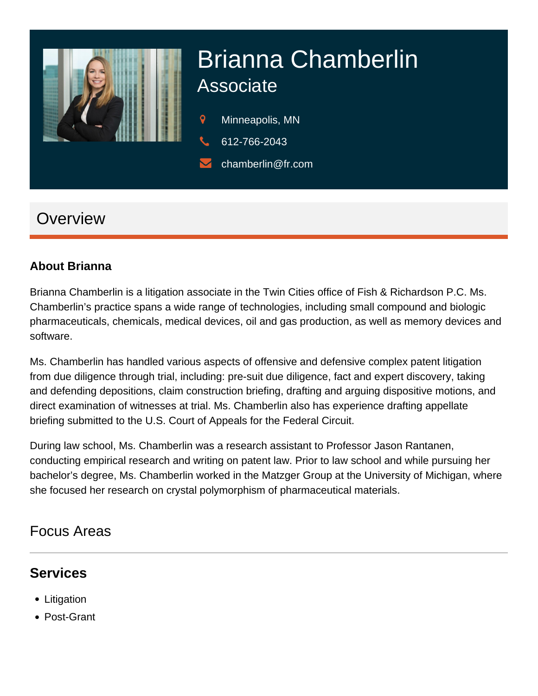

# Brianna Chamberlin Associate

- 9 Minneapolis, MN
- 612-766-2043
- chamberlin@fr.com

## **Overview**

#### **About Brianna**

Brianna Chamberlin is a litigation associate in the Twin Cities office of Fish & Richardson P.C. Ms. Chamberlin's practice spans a wide range of technologies, including small compound and biologic pharmaceuticals, chemicals, medical devices, oil and gas production, as well as memory devices and software.

Ms. Chamberlin has handled various aspects of offensive and defensive complex patent litigation from due diligence through trial, including: pre-suit due diligence, fact and expert discovery, taking and defending depositions, claim construction briefing, drafting and arguing dispositive motions, and direct examination of witnesses at trial. Ms. Chamberlin also has experience drafting appellate briefing submitted to the U.S. Court of Appeals for the Federal Circuit.

During law school, Ms. Chamberlin was a research assistant to Professor Jason Rantanen, conducting empirical research and writing on patent law. Prior to law school and while pursuing her bachelor's degree, Ms. Chamberlin worked in the Matzger Group at the University of Michigan, where she focused her research on crystal polymorphism of pharmaceutical materials.

#### Focus Areas

#### **Services**

- Litigation
- Post-Grant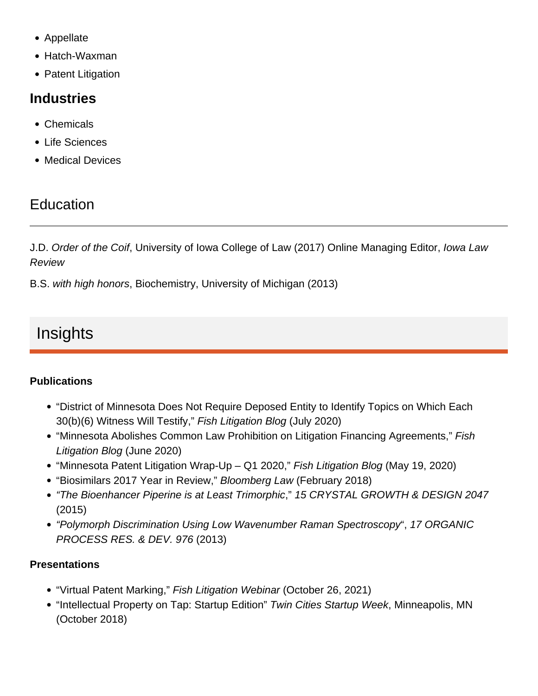- Appellate
- Hatch-Waxman
- Patent Litigation

#### Industries

- Chemicals
- Life Sciences
- Medical Devices

## **Education**

J.D. Order of the Coif, University of Iowa College of Law (2017) Online Managing Editor, Iowa Law Review

B.S. with high honors, Biochemistry, University of Michigan (2013)

# Insights

#### **Publications**

- ["District of Minnesota Does Not Require Deposed Entity to Identify Topics on Which Each](https://www.fr.com/fish-litigation/d-minn-does-not-require-deposed-entity-identify-topics/)  [30\(b\)\(6\) Witness Will Testify](https://www.fr.com/fish-litigation/d-minn-does-not-require-deposed-entity-identify-topics/)," Fish Litigation Blog (July 2020)
- ["Minnesota Abolishes Common Law Prohibition on Litigation Financing Agreements,](https://www.fr.com/fish-litigation/mn-abolishes-prohibition-litigation-financing-agreements/)" Fish Litigation Blog (June 2020)
- ["Minnesota Patent Litigation Wrap-Up Q1 2020](https://www.fr.com/fish-litigation/minnesota-patent-litigation-wrap-up-q1-2020/)," Fish Litigation Blog (May 19, 2020)
- ["Biosimilars 2017 Year in Review,](https://www.fr.com/fish-litigation/biosimilars-2017-year-in-review/)" Bloomberg Law (February 2018)
- ["The Bioenhancer Piperine is at Least Trimorphic,](https://pubs.acs.org/doi/abs/10.1021/acs.cgd.5b00278)" 15 CRYSTAL GROWTH & DESIGN 2047 (2015)
- ["Polymorph Discrimination Using Low Wavenumber Raman Spectroscopy](https://pubs.acs.org/doi/abs/10.1021/op400102e)", 17 ORGANIC PROCESS RES. & DEV. 976 (2013)

**Presentations** 

- ["Virtual Patent Marking](https://www.fr.com/?p=104338)," Fish Litigation Webinar (October 26, 2021)
- "Intellectual Property on Tap: Startup Edition" Twin Cities Startup Week, Minneapolis, MN (October 2018)